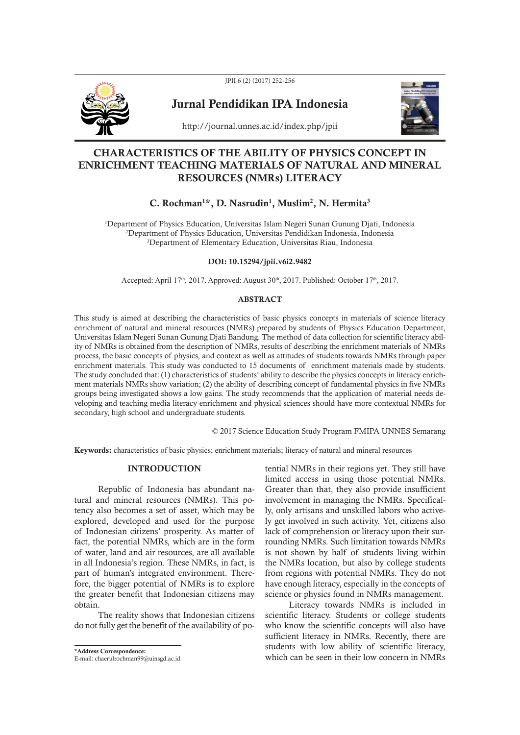

JPII 6 (2) (2017) 252-256

Jurnal Pendidikan IPA Indonesia



http://journal.unnes.ac.id/index.php/jpii

## CHARACTERISTICS OF THE ABILITY OF PHYSICS CONCEPT IN ENRICHMENT TEACHING MATERIALS OF NATURAL AND MINERAL RESOURCES (NMRs) LITERACY

# C. Rochman**<sup>1</sup>\***, D. Nasrudin**<sup>1</sup>** , Muslim**<sup>2</sup>** , N. Hermita**<sup>3</sup>**

<sup>1</sup>Department of Physics Education, Universitas Islam Negeri Sunan Gunung Djati, Indonesia <sup>2</sup>Department of Physics Education, Universitas Pendidikan Indonesia, Indonesia <sup>3</sup>Department of Elementary Education, Universitas Riau, Indonesia

### DOI: 10.15294/jpii.v6i2.9482

Accepted: April 17<sup>th</sup>, 2017. Approved: August 30<sup>th</sup>, 2017. Published: October 17<sup>th</sup>, 2017.

#### ABSTRACT

This study is aimed at describing the characteristics of basic physics concepts in materials of science literacy enrichment of natural and mineral resources (NMRs) prepared by students of Physics Education Department, Universitas Islam Negeri Sunan Gunung Djati Bandung. The method of data collection for scientific literacy ability of NMRs is obtained from the description of NMRs, results of describing the enrichment materials of NMRs process, the basic concepts of physics, and context as well as attitudes of students towards NMRs through paper enrichment materials. This study was conducted to 15 documents of enrichment materials made by students. The study concluded that: (1) characteristics of students' ability to describe the physics concepts in literacy enrichment materials NMRs show variation; (2) the ability of describing concept of fundamental physics in five NMRs groups being investigated shows a low gains. The study recommends that the application of material needs developing and teaching media literacy enrichment and physical sciences should have more contextual NMRs for secondary, high school and undergraduate students.

© 2017 Science Education Study Program FMIPA UNNES Semarang

Keywords: characteristics of basic physics; enrichment materials; literacy of natural and mineral resources

#### INTRODUCTION

Republic of Indonesia has abundant natural and mineral resources (NMRs). This potency also becomes a set of asset, which may be explored, developed and used for the purpose of Indonesian citizens' prosperity. As matter of fact, the potential NMRs, which are in the form of water, land and air resources, are all available in all Indonesia's region. These NMRs, in fact, is part of human's integrated environment. Therefore, the bigger potential of NMRs is to explore the greater benefit that Indonesian citizens may obtain.

The reality shows that Indonesian citizens do not fully get the benefit of the availability of po-

\*Address Correspondence:

E-mail: chaerulrochman99@uinsgd.ac.id

tential NMRs in their regions yet. They still have limited access in using those potential NMRs. Greater than that, they also provide insufficient involvement in managing the NMRs. Specifically, only artisans and unskilled labors who actively get involved in such activity. Yet, citizens also lack of comprehension or literacy upon their surrounding NMRs. Such limitation towards NMRs is not shown by half of students living within the NMRs location, but also by college students from regions with potential NMRs. They do not have enough literacy, especially in the concepts of science or physics found in NMRs management.

Literacy towards NMRs is included in scientific literacy. Students or college students who know the scientific concepts will also have sufficient literacy in NMRs. Recently, there are students with low ability of scientific literacy, which can be seen in their low concern in NMRs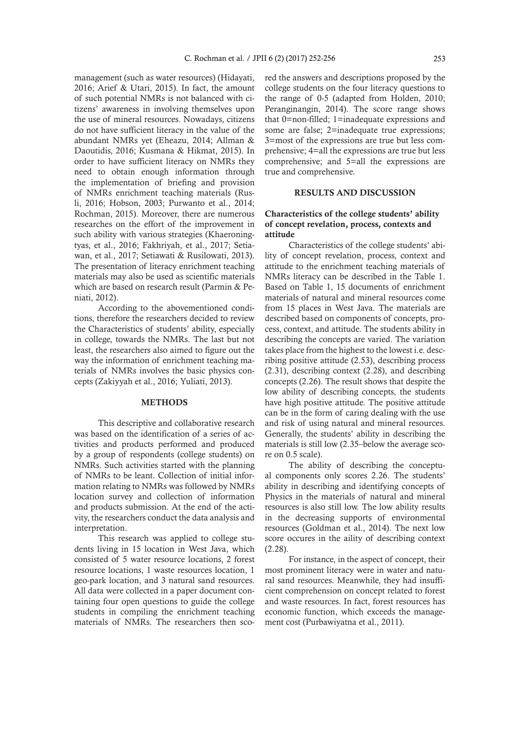management (such as water resources) (Hidayati, 2016; Arief & Utari, 2015). In fact, the amount of such potential NMRs is not balanced with citizens' awareness in involving themselves upon the use of mineral resources. Nowadays, citizens do not have sufficient literacy in the value of the abundant NMRs yet (Eheazu, 2014; Allman & Daoutidis, 2016; Kusmana & Hikmat, 2015). In order to have sufficient literacy on NMRs they need to obtain enough information through the implementation of briefing and provision of NMRs enrichment teaching materials (Rusli, 2016; Hobson, 2003; Purwanto et al., 2014; Rochman, 2015). Moreover, there are numerous researches on the effort of the improvement in such ability with various strategies (Khaeroningtyas, et al., 2016; Fakhriyah, et al., 2017; Setiawan, et al., 2017; Setiawati & Rusilowati, 2013). The presentation of literacy enrichment teaching materials may also be used as scientific materials which are based on research result (Parmin & Peniati, 2012).

According to the abovementioned conditions, therefore the researchers decided to review the Characteristics of students' ability, especially in college, towards the NMRs. The last but not least, the researchers also aimed to figure out the way the information of enrichment teaching materials of NMRs involves the basic physics concepts (Zakiyyah et al., 2016; Yuliati, 2013).

#### METHODS

This descriptive and collaborative research was based on the identification of a series of activities and products performed and produced by a group of respondents (college students) on NMRs. Such activities started with the planning of NMRs to be leant. Collection of initial information relating to NMRs was followed by NMRs location survey and collection of information and products submission. At the end of the activity, the researchers conduct the data analysis and interpretation.

This research was applied to college students living in 15 location in West Java, which consisted of 5 water resource locations, 2 forest resource locations, 1 waste resources location, 1 geo-park location, and 3 natural sand resources. All data were collected in a paper document containing four open questions to guide the college students in compiling the enrichment teaching materials of NMRs. The researchers then scored the answers and descriptions proposed by the college students on the four literacy questions to the range of 0-5 (adapted from Holden, 2010; Peranginangin, 2014). The score range shows that 0=non-filled; 1=inadequate expressions and some are false; 2=inadequate true expressions; 3=most of the expressions are true but less comprehensive; 4=all the expressions are true but less comprehensive; and 5=all the expressions are true and comprehensive.

#### RESULTS AND DISCUSSION

## Characteristics of the college students' ability of concept revelation, process, contexts and attitude

Characteristics of the college students' ability of concept revelation, process, context and attitude to the enrichment teaching materials of NMRs literacy can be described in the Table 1. Based on Table 1, 15 documents of enrichment materials of natural and mineral resources come from 15 places in West Java. The materials are described based on components of concepts, process, context, and attitude. The students ability in describing the concepts are varied. The variation takes place from the highest to the lowest i.e. describing positive attitude (2.53), describing process (2.31), describing context (2.28), and describing concepts (2.26). The result shows that despite the low ability of describing concepts, the students have high positive attitude. The positive attitude can be in the form of caring dealing with the use and risk of using natural and mineral resources. Generally, the students' ability in describing the materials is still low (2.35–below the average score on 0.5 scale).

The ability of describing the conceptual components only scores 2.26. The students' ability in describing and identifying concepts of Physics in the materials of natural and mineral resources is also still low. The low ability results in the decreasing supports of environmental resources (Goldman et al., 2014). The next low score occures in the aility of describing context (2.28).

For instance, in the aspect of concept, their most prominent literacy were in water and natural sand resources. Meanwhile, they had insufficient comprehension on concept related to forest and waste resources. In fact, forest resources has economic function, which exceeds the management cost (Purbawiyatna et al., 2011).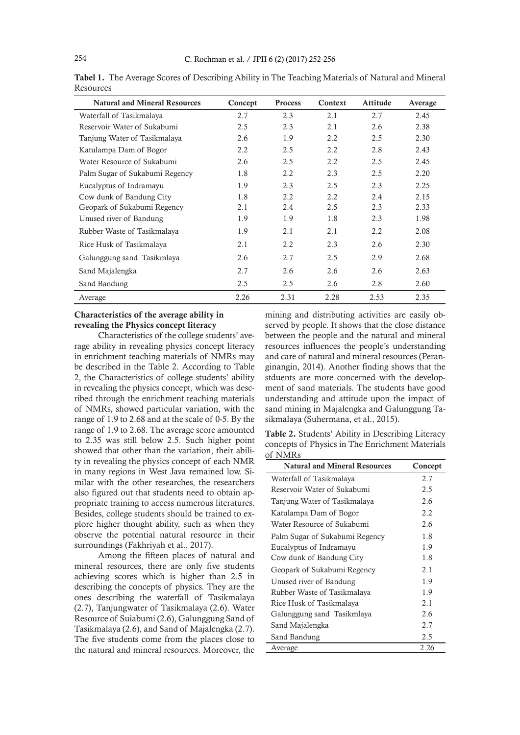| <b>Natural and Mineral Resources</b> | Concept | <b>Process</b> | Context | Attitude | Average |
|--------------------------------------|---------|----------------|---------|----------|---------|
| Waterfall of Tasikmalaya             | 2.7     | 2.3            | 2.1     | 2.7      | 2.45    |
| Reservoir Water of Sukabumi          | 2.5     | 2.3            | 2.1     | 2.6      | 2.38    |
| Tanjung Water of Tasikmalaya         | 2.6     | 1.9            | 2.2     | 2.5      | 2.30    |
| Katulampa Dam of Bogor               | 2.2     | 2.5            | 2.2     | 2.8      | 2.43    |
| Water Resource of Sukabumi           | 2.6     | 2.5            | 2.2     | 2.5      | 2.45    |
| Palm Sugar of Sukabumi Regency       | 1.8     | 2.2            | 2.3     | 2.5      | 2.20    |
| Eucalyptus of Indramayu              | 1.9     | 2.3            | 2.5     | 2.3      | 2.25    |
| Cow dunk of Bandung City             | 1.8     | 2.2            | 2.2     | 2.4      | 2.15    |
| Geopark of Sukabumi Regency          | 2.1     | 2.4            | 2.5     | 2.3      | 2.33    |
| Unused river of Bandung              | 1.9     | 1.9            | 1.8     | 2.3      | 1.98    |
| Rubber Waste of Tasikmalaya          | 1.9     | 2.1            | 2.1     | 2.2      | 2.08    |
| Rice Husk of Tasikmalaya             | 2.1     | 2.2            | 2.3     | 2.6      | 2.30    |
| Galunggung sand Tasikmlaya           | 2.6     | 2.7            | 2.5     | 2.9      | 2.68    |
| Sand Majalengka                      | 2.7     | 2.6            | 2.6     | 2.6      | 2.63    |
| Sand Bandung                         | 2.5     | 2.5            | 2.6     | 2.8      | 2.60    |
| Average                              | 2.26    | 2.31           | 2.28    | 2.53     | 2.35    |

Tabel 1. The Average Scores of Describing Ability in The Teaching Materials of Natural and Mineral Resources

## Characteristics of the average ability in revealing the Physics concept literacy

Characteristics of the college students' average ability in revealing physics concept literacy in enrichment teaching materials of NMRs may be described in the Table 2. According to Table 2, the Characteristics of college students' ability in revealing the physics concept, which was described through the enrichment teaching materials of NMRs, showed particular variation, with the range of 1.9 to 2.68 and at the scale of 0-5. By the range of 1.9 to 2.68. The average score amounted to 2.35 was still below 2.5. Such higher point showed that other than the variation, their ability in revealing the physics concept of each NMR in many regions in West Java remained low. Similar with the other researches, the researchers also figured out that students need to obtain appropriate training to access numerous literatures. Besides, college students should be trained to explore higher thought ability, such as when they observe the potential natural resource in their surroundings (Fakhriyah et al., 2017).

Among the fifteen places of natural and mineral resources, there are only five students achieving scores which is higher than 2.5 in describing the concepts of physics. They are the ones describing the waterfall of Tasikmalaya (2.7), Tanjungwater of Tasikmalaya (2.6). Water Resource of Suiabumi (2.6), Galunggung Sand of Tasikmalaya (2.6), and Sand of Majalengka (2.7). The five students come from the places close to the natural and mineral resources. Moreover, the

mining and distributing activities are easily observed by people. It shows that the close distance between the people and the natural and mineral resources influences the people's understanding and care of natural and mineral resources (Peranginangin, 2014). Another finding shows that the stduents are more concerned with the development of sand materials. The students have good understanding and attitude upon the impact of sand mining in Majalengka and Galunggung Tasikmalaya (Suhermana, et al., 2015).

Table 2. Students' Ability in Describing Literacy concepts of Physics in The Enrichment Materials of NMRs

| <b>Natural and Mineral Resources</b> | Concept |  |
|--------------------------------------|---------|--|
| Waterfall of Tasikmalaya             | 2.7     |  |
| Reservoir Water of Sukabumi          | 2.5     |  |
| Tanjung Water of Tasikmalaya         | 2.6     |  |
| Katulampa Dam of Bogor               | 2.2     |  |
| Water Resource of Sukabumi           | 2.6     |  |
| Palm Sugar of Sukabumi Regency       | 1.8     |  |
| Eucalyptus of Indramayu              | 1.9     |  |
| Cow dunk of Bandung City             | 1.8     |  |
| Geopark of Sukabumi Regency          | 2.1     |  |
| Unused river of Bandung              | 1.9     |  |
| Rubber Waste of Tasikmalaya          | 1.9     |  |
| Rice Husk of Tasikmalaya             | 2.1     |  |
| Galunggung sand Tasikmlaya           | 2.6     |  |
| Sand Majalengka                      | 2.7     |  |
| Sand Bandung                         | 2.5     |  |
| Average                              | 2.26    |  |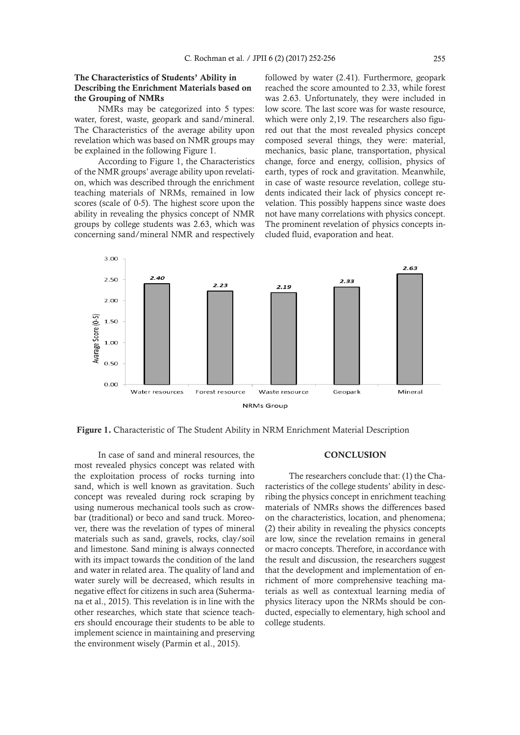## The Characteristics of Students' Ability in Describing the Enrichment Materials based on the Grouping of NMRs

NMRs may be categorized into 5 types: water, forest, waste, geopark and sand/mineral. The Characteristics of the average ability upon revelation which was based on NMR groups may be explained in the following Figure 1.

According to Figure 1, the Characteristics of the NMR groups' average ability upon revelation, which was described through the enrichment teaching materials of NRMs, remained in low scores (scale of 0-5). The highest score upon the ability in revealing the physics concept of NMR groups by college students was 2.63, which was concerning sand/mineral NMR and respectively

followed by water (2.41). Furthermore, geopark reached the score amounted to 2.33, while forest was 2.63. Unfortunately, they were included in low score. The last score was for waste resource, which were only 2,19. The researchers also figured out that the most revealed physics concept composed several things, they were: material, mechanics, basic plane, transportation, physical change, force and energy, collision, physics of earth, types of rock and gravitation. Meanwhile, in case of waste resource revelation, college students indicated their lack of physics concept revelation. This possibly happens since waste does not have many correlations with physics concept. The prominent revelation of physics concepts included fluid, evaporation and heat.



Figure 1. Characteristic of The Student Ability in NRM Enrichment Material Description

In case of sand and mineral resources, the most revealed physics concept was related with the exploitation process of rocks turning into sand, which is well known as gravitation. Such concept was revealed during rock scraping by using numerous mechanical tools such as crowbar (traditional) or beco and sand truck. Moreover, there was the revelation of types of mineral materials such as sand, gravels, rocks, clay/soil and limestone. Sand mining is always connected with its impact towards the condition of the land and water in related area. The quality of land and water surely will be decreased, which results in negative effect for citizens in such area (Suhermana et al., 2015). This revelation is in line with the other researches, which state that science teachers should encourage their students to be able to implement science in maintaining and preserving the environment wisely (Parmin et al., 2015).

#### **CONCLUSION**

The researchers conclude that: (1) the Characteristics of the college students' ability in describing the physics concept in enrichment teaching materials of NMRs shows the differences based on the characteristics, location, and phenomena; (2) their ability in revealing the physics concepts are low, since the revelation remains in general or macro concepts. Therefore, in accordance with the result and discussion, the researchers suggest that the development and implementation of enrichment of more comprehensive teaching materials as well as contextual learning media of physics literacy upon the NRMs should be conducted, especially to elementary, high school and college students.